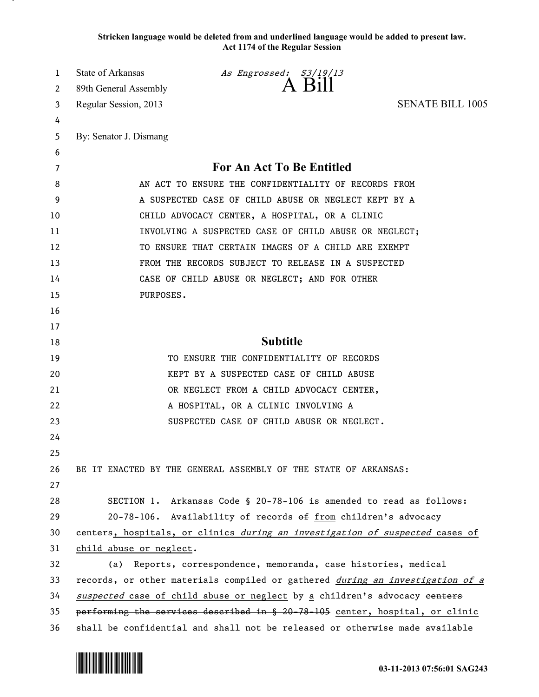**Stricken language would be deleted from and underlined language would be added to present law. Act 1174 of the Regular Session**

| 1  | State of Arkansas                                                            | As Engrossed: S3/19/13                                                        |                         |
|----|------------------------------------------------------------------------------|-------------------------------------------------------------------------------|-------------------------|
| 2  | 89th General Assembly                                                        | $A$ Bill                                                                      |                         |
| 3  | Regular Session, 2013                                                        |                                                                               | <b>SENATE BILL 1005</b> |
| 4  |                                                                              |                                                                               |                         |
| 5  | By: Senator J. Dismang                                                       |                                                                               |                         |
| 6  |                                                                              |                                                                               |                         |
| 7  |                                                                              | <b>For An Act To Be Entitled</b>                                              |                         |
| 8  |                                                                              | AN ACT TO ENSURE THE CONFIDENTIALITY OF RECORDS FROM                          |                         |
| 9  |                                                                              | A SUSPECTED CASE OF CHILD ABUSE OR NEGLECT KEPT BY A                          |                         |
| 10 |                                                                              | CHILD ADVOCACY CENTER, A HOSPITAL, OR A CLINIC                                |                         |
| 11 |                                                                              | INVOLVING A SUSPECTED CASE OF CHILD ABUSE OR NEGLECT;                         |                         |
| 12 |                                                                              | TO ENSURE THAT CERTAIN IMAGES OF A CHILD ARE EXEMPT                           |                         |
| 13 |                                                                              | FROM THE RECORDS SUBJECT TO RELEASE IN A SUSPECTED                            |                         |
| 14 |                                                                              | CASE OF CHILD ABUSE OR NEGLECT; AND FOR OTHER                                 |                         |
| 15 | PURPOSES.                                                                    |                                                                               |                         |
| 16 |                                                                              |                                                                               |                         |
| 17 |                                                                              |                                                                               |                         |
| 18 |                                                                              | <b>Subtitle</b>                                                               |                         |
| 19 |                                                                              | TO ENSURE THE CONFIDENTIALITY OF RECORDS                                      |                         |
| 20 |                                                                              | KEPT BY A SUSPECTED CASE OF CHILD ABUSE                                       |                         |
| 21 |                                                                              | OR NEGLECT FROM A CHILD ADVOCACY CENTER,                                      |                         |
| 22 |                                                                              | A HOSPITAL, OR A CLINIC INVOLVING A                                           |                         |
| 23 |                                                                              | SUSPECTED CASE OF CHILD ABUSE OR NEGLECT.                                     |                         |
| 24 |                                                                              |                                                                               |                         |
| 25 |                                                                              |                                                                               |                         |
| 26 |                                                                              | BE IT ENACTED BY THE GENERAL ASSEMBLY OF THE STATE OF ARKANSAS:               |                         |
| 27 |                                                                              |                                                                               |                         |
| 28 |                                                                              | SECTION 1. Arkansas Code § 20-78-106 is amended to read as follows:           |                         |
| 29 |                                                                              | 20-78-106. Availability of records of from children's advocacy                |                         |
| 30 |                                                                              | centers, hospitals, or clinics during an investigation of suspected cases of  |                         |
| 31 | child abuse or neglect.                                                      |                                                                               |                         |
| 32 | (a) Reports, correspondence, memoranda, case histories, medical              |                                                                               |                         |
| 33 |                                                                              | records, or other materials compiled or gathered during an investigation of a |                         |
| 34 | suspected case of child abuse or neglect by a children's advocacy eenters    |                                                                               |                         |
| 35 | performing the services described in § 20-78-105 center, hospital, or clinic |                                                                               |                         |
| 36 | shall be confidential and shall not be released or otherwise made available  |                                                                               |                         |

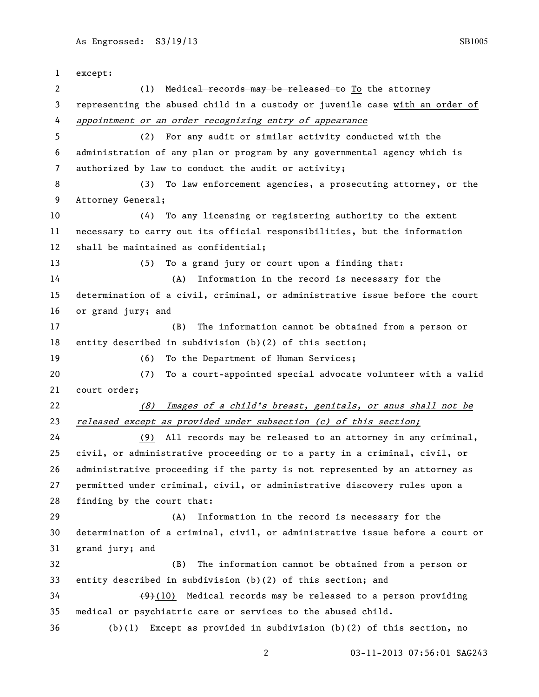except: 2 (1) Medical records may be released to To the attorney representing the abused child in a custody or juvenile case with an order of appointment or an order recognizing entry of appearance (2) For any audit or similar activity conducted with the administration of any plan or program by any governmental agency which is authorized by law to conduct the audit or activity; (3) To law enforcement agencies, a prosecuting attorney, or the Attorney General; (4) To any licensing or registering authority to the extent necessary to carry out its official responsibilities, but the information shall be maintained as confidential; (5) To a grand jury or court upon a finding that: (A) Information in the record is necessary for the determination of a civil, criminal, or administrative issue before the court or grand jury; and (B) The information cannot be obtained from a person or entity described in subdivision (b)(2) of this section; (6) To the Department of Human Services; (7) To a court-appointed special advocate volunteer with a valid court order; (8) Images of a child's breast, genitals, or anus shall not be released except as provided under subsection (c) of this section; (9) All records may be released to an attorney in any criminal, civil, or administrative proceeding or to a party in a criminal, civil, or administrative proceeding if the party is not represented by an attorney as permitted under criminal, civil, or administrative discovery rules upon a finding by the court that: (A) Information in the record is necessary for the determination of a criminal, civil, or administrative issue before a court or grand jury; and (B) The information cannot be obtained from a person or entity described in subdivision (b)(2) of this section; and (9)(10) Medical records may be released to a person providing medical or psychiatric care or services to the abused child. (b)(1) Except as provided in subdivision (b)(2) of this section, no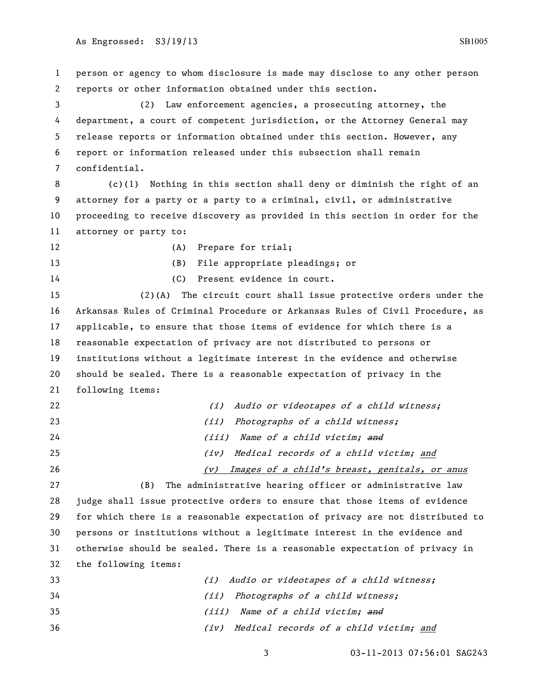person or agency to whom disclosure is made may disclose to any other person reports or other information obtained under this section.

 (2) Law enforcement agencies, a prosecuting attorney, the department, a court of competent jurisdiction, or the Attorney General may release reports or information obtained under this section. However, any report or information released under this subsection shall remain confidential.

 (c)(1) Nothing in this section shall deny or diminish the right of an attorney for a party or a party to a criminal, civil, or administrative proceeding to receive discovery as provided in this section in order for the attorney or party to:

(B) File appropriate pleadings; or

12 (A) Prepare for trial;

(C) Present evidence in court.

 (2)(A) The circuit court shall issue protective orders under the Arkansas Rules of Criminal Procedure or Arkansas Rules of Civil Procedure, as applicable, to ensure that those items of evidence for which there is a reasonable expectation of privacy are not distributed to persons or institutions without a legitimate interest in the evidence and otherwise should be sealed. There is a reasonable expectation of privacy in the following items:

| 22 | (i) Audio or videotapes of a child witness;          |
|----|------------------------------------------------------|
| 23 | (ii) Photographs of a child witness;                 |
| 24 | (iii) Name of a child victim; and                    |
| 25 | Medical records of a child victim; and<br>(iv)       |
| 26 | Images of a child's breast, genitals, or anus<br>(v) |

 (B) The administrative hearing officer or administrative law judge shall issue protective orders to ensure that those items of evidence for which there is a reasonable expectation of privacy are not distributed to persons or institutions without a legitimate interest in the evidence and otherwise should be sealed. There is a reasonable expectation of privacy in the following items:

 (i) Audio or videotapes of a child witness; (ii) Photographs of a child witness; 35 (iii) Name of a child victim; and (iv) Medical records of a child victim; and

03-11-2013 07:56:01 SAG243